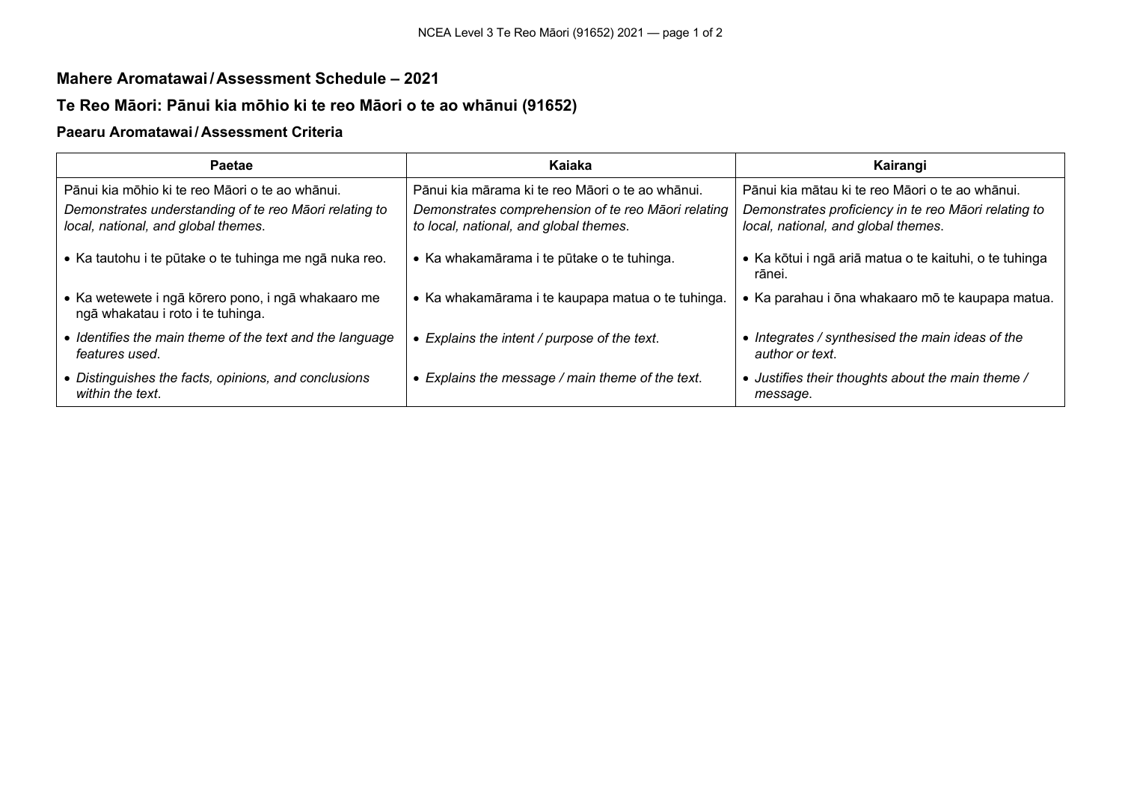### **Mahere Aromatawai /Assessment Schedule – 2021**

## **Te Reo Māori: Pānui kia mōhio ki te reo Māori o te ao whānui (91652)**

#### **Paearu Aromatawai / Assessment Criteria**

| <b>Paetae</b>                                                                                 | Kaiaka                                                                                        | Kairangi                                                                                    |
|-----------------------------------------------------------------------------------------------|-----------------------------------------------------------------------------------------------|---------------------------------------------------------------------------------------------|
| Pānui kia mōhio ki te reo Māori o te ao whānui.                                               | Pānui kia mārama ki te reo Māori o te ao whānui.                                              | Pānui kia mātau ki te reo Māori o te ao whānui.                                             |
| Demonstrates understanding of te reo Māori relating to<br>local, national, and global themes. | Demonstrates comprehension of te reo Māori relating<br>to local, national, and global themes. | Demonstrates proficiency in te reo Māori relating to<br>local, national, and global themes. |
| • Ka tautohu i te pūtake o te tuhinga me ngā nuka reo.                                        | • Ka whakamārama i te pūtake o te tuhinga.                                                    | • Ka kōtui i ngā ariā matua o te kaituhi, o te tuhinga<br>rānei.                            |
| • Ka wetewete i ngā kōrero pono, i ngā whakaaro me<br>ngā whakatau i roto i te tuhinga.       | • Ka whakamārama i te kaupapa matua o te tuhinga.                                             | • Ka parahau i ōna whakaaro mō te kaupapa matua.                                            |
| • Identifies the main theme of the text and the language<br>features used.                    | • Explains the intent / purpose of the text.                                                  | • Integrates / synthesised the main ideas of the<br>author or text.                         |
| • Distinguishes the facts, opinions, and conclusions<br>within the text.                      | • Explains the message / main theme of the text.                                              | • Justifies their thoughts about the main theme /<br>message.                               |